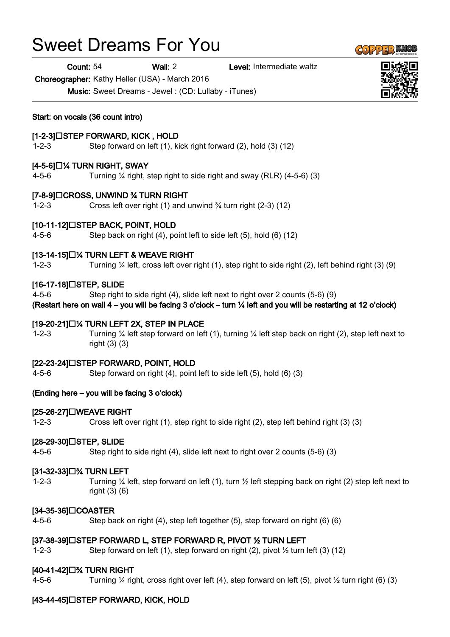# Sweet Dreams For You

Count: 54 Wall: 2 Level: Intermediate waltz

Choreographer: Kathy Heller (USA) - March 2016

Music: Sweet Dreams - Jewel : (CD: Lullaby - iTunes)

Start: on vocals (36 count intro)

# [1-2-3]□STEP FORWARD, KICK, HOLD

1-2-3 Step forward on left (1), kick right forward (2), hold (3) (12)

# $[4-5-6] \square$ % TURN RIGHT, SWAY

4-5-6 Turning  $\frac{1}{4}$  right, step right to side right and sway (RLR) (4-5-6) (3)

#### [7-8-9] CROSS, UNWIND ¾ TURN RIGHT

1-2-3 Cross left over right (1) and unwind ¾ turn right (2-3) (12)

#### $[10-11-12] \square$ STEP BACK, POINT, HOLD

4-5-6 Step back on right (4), point left to side left (5), hold (6) (12)

#### $[13-14-15]\Box$ % TURN LEFT & WEAVE RIGHT

1-2-3 Turning ¼ left, cross left over right (1), step right to side right (2), left behind right (3) (9)

# [16-17-18]□STEP, SLIDE

4-5-6 Step right to side right (4), slide left next to right over 2 counts (5-6) (9)

(Restart here on wall 4 – you will be facing 3 o'clock – turn ¼ left and you will be restarting at 12 o'clock)

#### $[19-20-21]$   $\Box$ % TURN LEFT 2X, STEP IN PLACE

1-2-3 Turning ¼ left step forward on left (1), turning ¼ left step back on right (2), step left next to right (3) (3)

#### [22-23-24] STEP FORWARD, POINT, HOLD

4-5-6 Step forward on right (4), point left to side left (5), hold (6) (3)

# (Ending here – you will be facing 3 o'clock)

#### [25-26-27] WEAVE RIGHT

1-2-3 Cross left over right (1), step right to side right (2), step left behind right (3) (3)

#### [28-29-30]□STEP, SLIDE

4-5-6 Step right to side right (4), slide left next to right over 2 counts (5-6) (3)

#### [31-32-33]□% TURN LEFT

1-2-3 Turning ¼ left, step forward on left (1), turn ½ left stepping back on right (2) step left next to right (3) (6)

#### [34-35-36]□COASTER

4-5-6 Step back on right (4), step left together (5), step forward on right (6) (6)

#### [37-38-39]□STEP FORWARD L, STEP FORWARD R, PIVOT ½ TURN LEFT

1-2-3 Step forward on left (1), step forward on right (2), pivot ½ turn left (3) (12)

#### [40-41-42]□% TURN RIGHT

4-5-6 Turning ¼ right, cross right over left (4), step forward on left (5), pivot ½ turn right (6) (3)

# [43-44-45]□STEP FORWARD, KICK, HOLD